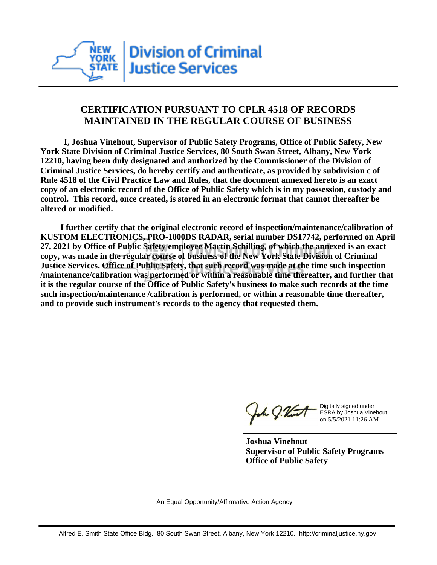

## **CERTIFICATION PURSUANT TO CPLR 4518 OF RECORDS MAINTAINED IN THE REGULAR COURSE OF BUSINESS**

 **I, Joshua Vinehout, Supervisor of Public Safety Programs, Office of Public Safety, New York State Division of Criminal Justice Services, 80 South Swan Street, Albany, New York 12210, having been duly designated and authorized by the Commissioner of the Division of Criminal Justice Services, do hereby certify and authenticate, as provided by subdivision c of Rule 4518 of the Civil Practice Law and Rules, that the document annexed hereto is an exact copy of an electronic record of the Office of Public Safety which is in my possession, custody and control. This record, once created, is stored in an electronic format that cannot thereafter be altered or modified.**

 **I further certify that the original electronic record of inspection/maintenance/calibration of KUSTOM ELECTRONICS, PRO-1000DS RADAR, serial number DS17742, performed on April 27, 2021 by Office of Public Safety employee Martin Schilling, of which the annexed is an exact copy, was made in the regular course of business of the New York State Division of Criminal Justice Services, Office of Public Safety, that such record was made at the time such inspection /maintenance/calibration was performed or within a reasonable time thereafter, and further that it is the regular course of the Office of Public Safety's business to make such records at the time such inspection/maintenance /calibration is performed, or within a reasonable time thereafter, and to provide such instrument's records to the agency that requested them.**

the J. Vint

Digitally signed under ESRA by Joshua Vinehout on 5/5/2021 11:26 AM

**Joshua Vinehout Supervisor of Public Safety Programs Office of Public Safety**

An Equal Opportunity/Affirmative Action Agency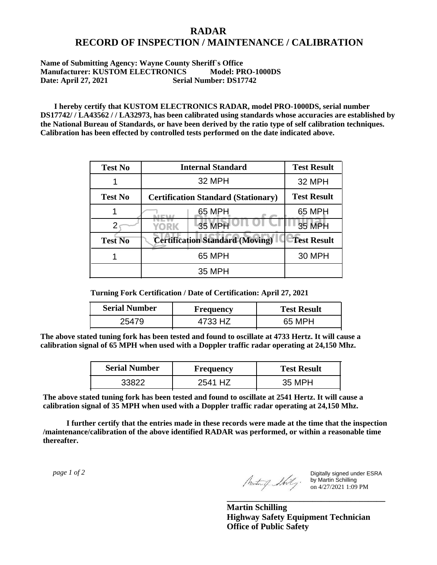## **RADAR RECORD OF INSPECTION / MAINTENANCE / CALIBRATION**

## **Name of Submitting Agency: Wayne County Sheriff`s Office Manufacturer: KUSTOM ELECTRONICS Model: PRO-1000DS Date: April 27, 2021 Serial Number: DS17742**

 **I hereby certify that KUSTOM ELECTRONICS RADAR, model PRO-1000DS, serial number DS17742/ / LA43562 / / LA32973, has been calibrated using standards whose accuracies are established by the National Bureau of Standards, or have been derived by the ratio type of self calibration techniques. Calibration has been effected by controlled tests performed on the date indicated above.**

| <b>Test No</b> | <b>Internal Standard</b>                   | <b>Test Result</b> |
|----------------|--------------------------------------------|--------------------|
|                | 32 MPH                                     | 32 MPH             |
| <b>Test No</b> | <b>Certification Standard (Stationary)</b> | <b>Test Result</b> |
|                | 65 MPH                                     | 65 MPH             |
|                | 35 MPH<br>YORK                             | <b>35 MPH</b>      |
| <b>Test No</b> | <b>Certification Standard (Moving)</b>     | <b>Test Result</b> |
|                | 65 MPH                                     | <b>30 MPH</b>      |
|                | 35 MPH                                     |                    |

**Turning Fork Certification / Date of Certification: April 27, 2021**

| <b>Serial Number</b> | <b>Frequency</b> | <b>Test Result</b> |
|----------------------|------------------|--------------------|
| 2547c                | 4733 HZ          | 65 MPH             |

**The above stated tuning fork has been tested and found to oscillate at 4733 Hertz. It will cause a calibration signal of 65 MPH when used with a Doppler traffic radar operating at 24,150 Mhz.**

| <b>Serial Number</b> | <b>Frequency</b> | <b>Test Result</b> |
|----------------------|------------------|--------------------|
| 33822                | 25⊿1<br>H        | 35 MPH             |

**The above stated tuning fork has been tested and found to oscillate at 2541 Hertz. It will cause a calibration signal of 35 MPH when used with a Doppler traffic radar operating at 24,150 Mhz.**

 **I further certify that the entries made in these records were made at the time that the inspection /maintenance/calibration of the above identified RADAR was performed, or within a reasonable time thereafter.**

 *page 1 of 2* 

Digitally signed under ESRA by Martin Schilling on 4/27/2021 1:09 PM

**Martin Schilling Highway Safety Equipment Technician Office of Public Safety**

**\_\_\_\_\_\_\_\_\_\_\_\_\_\_\_\_\_\_\_\_\_\_\_\_\_\_\_\_\_\_\_\_\_\_\_\_\_**